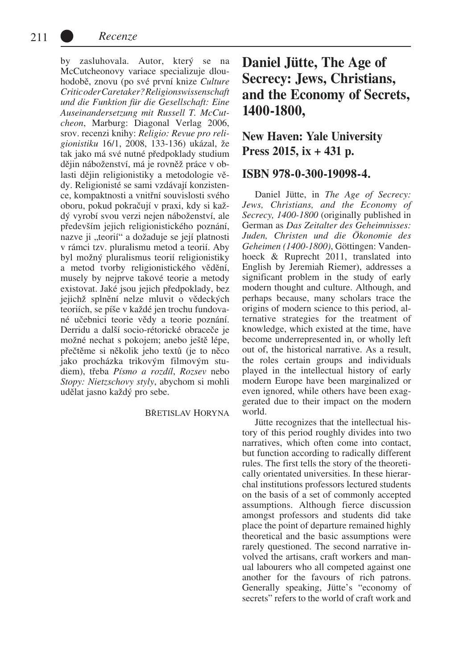by zasluhovala. Autor, který se na McCutcheonovy variace specializuje dlouhodobě, znovu (po své první knize *Culture Critic oder Caretaker? Religionswissenschaft und die Funktion für die Gesellschaft: Eine Auseinandersetzung mit Russell T. McCutcheon*, Marburg: Diagonal Verlag 2006, srov. recenzi knihy: *Religio: Revue pro religionistiku* 16/1, 2008, 133-136) ukázal, že tak jako má své nutné předpoklady studium dějin náboženství, má je rovněž práce v oblasti dějin religionistiky a metodologie vědy. Religionisté se sami vzdávají konzistence, kompaktnosti a vnitřní souvislosti svého oboru, pokud pokračují v praxi, kdy si každý vyrobí svou verzi nejen náboženství, ale především jejich religionistického poznání, nazve ji "teorií" a dožaduje se její platnosti v rámci tzv. pluralismu metod a teorií. Aby byl možný pluralismus teorií religionistiky a metod tvorby religionistického vědění, musely by nejprve takové teorie a metody existovat. Jaké jsou jejich předpoklady, bez jejichž splnění nelze mluvit o vědeckých teoriích, se píše v každé jen trochu fundované učebnici teorie vědy a teorie poznání. Derridu a další socio-rétorické obraceče je možné nechat s pokojem; anebo ještě lépe, přečtěme si několik jeho textů (je to něco jako procházka trikovým filmovým studiem), třeba *Písmo a rozdíl*, *Rozsev* nebo *Stopy: Nietzschovy styly*, abychom si mohli udělat jasno každý pro sebe.

#### Břetislav Horyna

# **Daniel Jütte, The Age of Secrecy: Jews, Christians, and the Economy of Secrets, 1400-1800,**

## **New Haven: Yale University Press 2015, ix + 431 p.**

### **ISBN 978-0-300-19098-4.**

Daniel Jütte, in *The Age of Secrecy: Jews, Christians, and the Economy of Secrecy, 1400-1800* (originally published in German as *Das Zeitalter des Geheimnisses: Juden, Christen und die Ökonomie des Geheimen (1400-1800)*, Göttingen: Vandenhoeck & Ruprecht 2011, translated into English by Jeremiah Riemer), addresses a significant problem in the study of early modern thought and culture. Although, and perhaps because, many scholars trace the origins of modern science to this period, alternative strategies for the treatment of knowledge, which existed at the time, have become underrepresented in, or wholly left out of, the historical narrative. As a result, the roles certain groups and individuals played in the intellectual history of early modern Europe have been marginalized or even ignored, while others have been exaggerated due to their impact on the modern world.

Jütte recognizes that the intellectual history of this period roughly divides into two narratives, which often come into contact, but function according to radically different rules. The first tells the story of the theoretically orientated universities. In these hierarchal institutions professors lectured students on the basis of a set of commonly accepted assumptions. Although fierce discussion amongst professors and students did take place the point of departure remained highly theoretical and the basic assumptions were rarely questioned. The second narrative involved the artisans, craft workers and manual labourers who all competed against one another for the favours of rich patrons. Generally speaking, Jütte's "economy of secrets" refers to the world of craft work and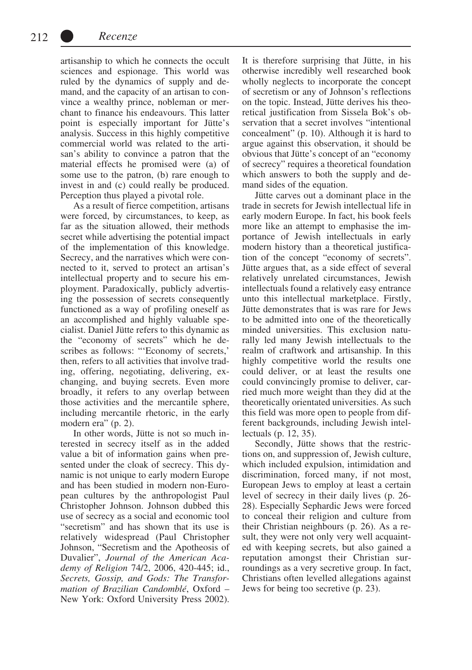artisanship to which he connects the occult sciences and espionage. This world was ruled by the dynamics of supply and demand, and the capacity of an artisan to convince a wealthy prince, nobleman or merchant to finance his endeavours. This latter point is especially important for Jütte's analysis. Success in this highly competitive commercial world was related to the artisan's ability to convince a patron that the material effects he promised were (a) of some use to the patron, (b) rare enough to invest in and (c) could really be produced. Perception thus played a pivotal role.

As a result of fierce competition, artisans were forced, by circumstances, to keep, as far as the situation allowed, their methods secret while advertising the potential impact of the implementation of this knowledge. Secrecy, and the narratives which were connected to it, served to protect an artisan's intellectual property and to secure his employment. Paradoxically, publicly advertising the possession of secrets consequently functioned as a way of profiling oneself as an accomplished and highly valuable specialist. Daniel Jütte refers to this dynamic as the "economy of secrets" which he describes as follows: "'Economy of secrets,' then, refers to all activities that involve trading, offering, negotiating, delivering, exchanging, and buying secrets. Even more broadly, it refers to any overlap between those activities and the mercantile sphere, including mercantile rhetoric, in the early modern era" (p. 2).

In other words, Jütte is not so much interested in secrecy itself as in the added value a bit of information gains when presented under the cloak of secrecy. This dynamic is not unique to early modern Europe and has been studied in modern non-European cultures by the anthropologist Paul Christopher Johnson. Johnson dubbed this use of secrecy as a social and economic tool "secretism" and has shown that its use is relatively widespread (Paul Christopher Johnson, "Secretism and the Apotheosis of Duvalier", *Journal of the American Academy of Religion* 74/2, 2006, 420-445; id., *Secrets, Gossip, and Gods: The Transformation of Brazilian Candomblé*, Oxford – New York: Oxford University Press 2002). It is therefore surprising that Jütte, in his otherwise incredibly well researched book wholly neglects to incorporate the concept of secretism or any of Johnson's reflections on the topic. Instead, Jütte derives his theoretical justification from Sissela Bok's observation that a secret involves "intentional concealment" (p. 10). Although it is hard to argue against this observation, it should be obvious that Jütte's concept of an "economy of secrecy" requires a theoretical foundation which answers to both the supply and demand sides of the equation.

Jütte carves out a dominant place in the trade in secrets for Jewish intellectual life in early modern Europe. In fact, his book feels more like an attempt to emphasise the importance of Jewish intellectuals in early modern history than a theoretical justification of the concept "economy of secrets". Jütte argues that, as a side effect of several relatively unrelated circumstances, Jewish intellectuals found a relatively easy entrance unto this intellectual marketplace. Firstly, Jütte demonstrates that is was rare for Jews to be admitted into one of the theoretically minded universities. This exclusion naturally led many Jewish intellectuals to the realm of craftwork and artisanship. In this highly competitive world the results one could deliver, or at least the results one could convincingly promise to deliver, carried much more weight than they did at the theoretically orientated universities. As such this field was more open to people from different backgrounds, including Jewish intellectuals (p. 12, 35).

Secondly, Jütte shows that the restrictions on, and suppression of, Jewish culture, which included expulsion, intimidation and discrimination, forced many, if not most, European Jews to employ at least a certain level of secrecy in their daily lives (p. 26- 28). Especially Sephardic Jews were forced to conceal their religion and culture from their Christian neighbours (p. 26). As a result, they were not only very well acquainted with keeping secrets, but also gained a reputation amongst their Christian surroundings as a very secretive group. In fact, Christians often levelled allegations against Jews for being too secretive (p. 23).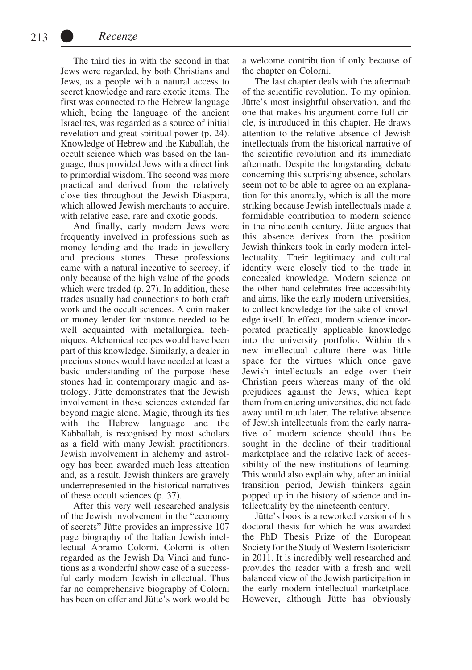The third ties in with the second in that Jews were regarded, by both Christians and Jews, as a people with a natural access to secret knowledge and rare exotic items. The first was connected to the Hebrew language which, being the language of the ancient Israelites, was regarded as a source of initial revelation and great spiritual power (p. 24). Knowledge of Hebrew and the Kaballah, the occult science which was based on the language, thus provided Jews with a direct link to primordial wisdom. The second was more practical and derived from the relatively close ties throughout the Jewish Diaspora, which allowed Jewish merchants to acquire, with relative ease, rare and exotic goods.

And finally, early modern Jews were frequently involved in professions such as money lending and the trade in jewellery and precious stones. These professions came with a natural incentive to secrecy, if only because of the high value of the goods which were traded (p. 27). In addition, these trades usually had connections to both craft work and the occult sciences. A coin maker or money lender for instance needed to be well acquainted with metallurgical techniques. Alchemical recipes would have been part of this knowledge. Similarly, a dealer in precious stones would have needed at least a basic understanding of the purpose these stones had in contemporary magic and astrology. Jütte demonstrates that the Jewish involvement in these sciences extended far beyond magic alone. Magic, through its ties with the Hebrew language and the Kabballah, is recognised by most scholars as a field with many Jewish practitioners. Jewish involvement in alchemy and astrology has been awarded much less attention and, as a result, Jewish thinkers are gravely underrepresented in the historical narratives of these occult sciences (p. 37).

After this very well researched analysis of the Jewish involvement in the "economy of secrets" Jütte provides an impressive 107 page biography of the Italian Jewish intellectual Abramo Colorni. Colorni is often regarded as the Jewish Da Vinci and functions as a wonderful show case of a successful early modern Jewish intellectual. Thus far no comprehensive biography of Colorni has been on offer and Jütte's work would be a welcome contribution if only because of the chapter on Colorni.

The last chapter deals with the aftermath of the scientific revolution. To my opinion, Jütte's most insightful observation, and the one that makes his argument come full circle, is introduced in this chapter. He draws attention to the relative absence of Jewish intellectuals from the historical narrative of the scientific revolution and its immediate aftermath. Despite the longstanding debate concerning this surprising absence, scholars seem not to be able to agree on an explanation for this anomaly, which is all the more striking because Jewish intellectuals made a formidable contribution to modern science in the nineteenth century. Jütte argues that this absence derives from the position Jewish thinkers took in early modern intellectuality. Their legitimacy and cultural identity were closely tied to the trade in concealed knowledge. Modern science on the other hand celebrates free accessibility and aims, like the early modern universities, to collect knowledge for the sake of knowledge itself. In effect, modern science incorporated practically applicable knowledge into the university portfolio. Within this new intellectual culture there was little space for the virtues which once gave Jewish intellectuals an edge over their Christian peers whereas many of the old prejudices against the Jews, which kept them from entering universities, did not fade away until much later. The relative absence of Jewish intellectuals from the early narrative of modern science should thus be sought in the decline of their traditional marketplace and the relative lack of accessibility of the new institutions of learning. This would also explain why, after an initial transition period, Jewish thinkers again popped up in the history of science and intellectuality by the nineteenth century.

Jütte's book is a reworked version of his doctoral thesis for which he was awarded the PhD Thesis Prize of the European Society for the Study of Western Esotericism in 2011. It is incredibly well researched and provides the reader with a fresh and well balanced view of the Jewish participation in the early modern intellectual marketplace. However, although Jütte has obviously